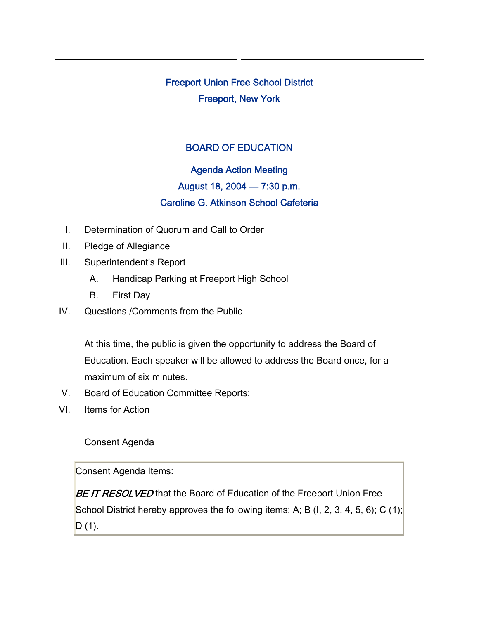Freeport Union Free School District Freeport, New York

## BOARD OF EDUCATION

## Agenda Action Meeting August 18, 2004 — 7:30 p.m. Caroline G. Atkinson School Cafeteria

- I. Determination of Quorum and Call to Order
- II. Pledge of Allegiance
- III. Superintendent's Report
	- A. Handicap Parking at Freeport High School
	- B. First Day
- IV. Questions /Comments from the Public

At this time, the public is given the opportunity to address the Board of Education. Each speaker will be allowed to address the Board once, for a maximum of six minutes.

- V. Board of Education Committee Reports:
- VI. Items for Action

Consent Agenda

Consent Agenda Items:

BE IT RESOLVED that the Board of Education of the Freeport Union Free School District hereby approves the following items: A; B (I, 2, 3, 4, 5, 6); C (1);  $D(1)$ .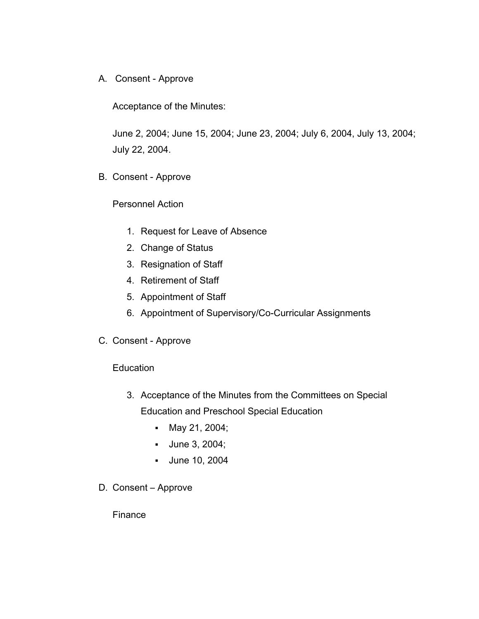A. Consent - Approve

Acceptance of the Minutes:

June 2, 2004; June 15, 2004; June 23, 2004; July 6, 2004, July 13, 2004; July 22, 2004.

B. Consent - Approve

Personnel Action

- 1. Request for Leave of Absence
- 2. Change of Status
- 3. Resignation of Staff
- 4. Retirement of Staff
- 5. Appointment of Staff
- 6. Appointment of Supervisory/Co-Curricular Assignments
- C. Consent Approve

**Education** 

- 3. Acceptance of the Minutes from the Committees on Special Education and Preschool Special Education
	- May 21, 2004;
	- **June 3, 2004;**
	- June 10, 2004
- D. Consent Approve

Finance